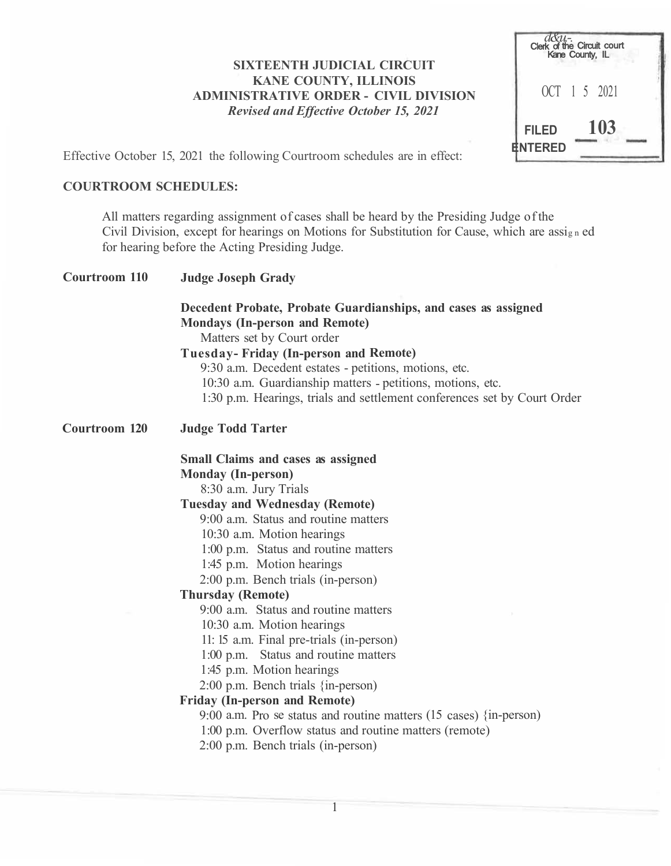## **SIXTEENTH JUDICIAL CIRCUIT KANE COUNTY, ILLINOIS ADMINISTRATIVE ORDER - CIVIL DIVISION**  *Revised and Effective October 15, 2021*

| d&u-<br>Clerk of the Circuit court<br>Kane County, IL |  |  |     |  |  |
|-------------------------------------------------------|--|--|-----|--|--|
| OCT 1 5 2021                                          |  |  |     |  |  |
| <b>FILED</b><br><b>ENTERED</b>                        |  |  | 103 |  |  |

Effective October 15, 2021 the following Courtroom schedules are in effect:

## **COURTROOM SCHEDULES:**

All matters regarding assignment of cases shall be heard by the Presiding Judge of the Civil Division, except for hearings on Motions for Substitution for Cause, which are assigned for hearing before the Acting Presiding Judge.

## **Courtroom 110 Courtroom 120 Judge Joseph Grady Decedent Probate, Probate Guardianships, and cases as assigned Mondays (In-person and Remote)**  Matters set by Court order **Tuesday- Friday (In-person and Remote)**  9:30 a.m. Decedent estates - petitions, motions, etc. 10:30 a.m. Guardianship matters - petitions, motions, etc. 1 :30 p.m. Hearings, trials and settlement conferences set by Court Order **Judge Todd Tarter Small Claims and cases as assigned Monday (In-person)**  8:30 a.m. Jury Trials **Tuesday and Wednesday (Remote)**  9:00 a.m. Status and routine matters 10:30 a.m. Motion hearings 1 :00 p.m. Status and routine matters 1 :45 p.m. Motion hearings 2:00 p.m. Bench trials (in-person) **Thursday (Remote)**  9:00 a.m. Status and routine matters 10:30 a.m. Motion hearings 11: 15 a.m. Final pre-trials (in-person) 1 :00 p.m. Status and routine matters 1 :45 p.m. Motion hearings 2:00 p.m. Bench trials {in-person) **Friday (In-person and Remote)**  9:00 a.m. Pro se status and routine matters (15 cases) {in-person) 1 :00 p.m. Overflow status and routine matters (remote) 2:00 p.m. Bench trials (in-person)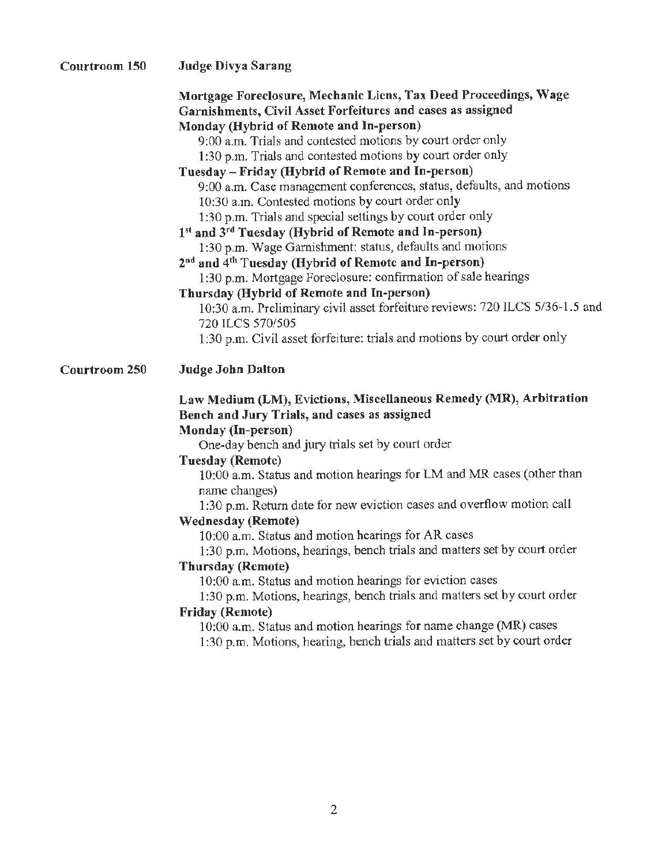| Judge Divya Sarang                                                                                                                                                                                                                                                                                                                                                                                                                                                                                                                                                                                                                                                                                                                                                                                                                                                                                     |
|--------------------------------------------------------------------------------------------------------------------------------------------------------------------------------------------------------------------------------------------------------------------------------------------------------------------------------------------------------------------------------------------------------------------------------------------------------------------------------------------------------------------------------------------------------------------------------------------------------------------------------------------------------------------------------------------------------------------------------------------------------------------------------------------------------------------------------------------------------------------------------------------------------|
| Mortgage Foreclosure, Mechanic Liens, Tax Deed Proceedings, Wage<br>Garnishments, Civil Asset Forfeitures and cases as assigned<br>Monday (Hybrid of Remote and In-person)<br>9:00 a.m. Trials and contested motions by court order only<br>1:30 p.m. Trials and contested motions by court order only<br>Tuesday - Friday (Hybrid of Remote and In-person)<br>9:00 a.m. Case management conferences, status, defaults, and motions<br>10:30 a.in. Contested motions by court order only                                                                                                                                                                                                                                                                                                                                                                                                               |
| 1:30 p.m. Trials and special settings by court order only                                                                                                                                                                                                                                                                                                                                                                                                                                                                                                                                                                                                                                                                                                                                                                                                                                              |
| 1st and 3rd Tuesday (Hybrid of Remote and In-person)                                                                                                                                                                                                                                                                                                                                                                                                                                                                                                                                                                                                                                                                                                                                                                                                                                                   |
| 1:30 p.m. Wage Garnishment: status, defaults and motions                                                                                                                                                                                                                                                                                                                                                                                                                                                                                                                                                                                                                                                                                                                                                                                                                                               |
| 2 <sup>nd</sup> and 4 <sup>th</sup> Tuesday (Hybrid of Remote and In-person)                                                                                                                                                                                                                                                                                                                                                                                                                                                                                                                                                                                                                                                                                                                                                                                                                           |
| 1:30 p.m. Mortgage Foreclosure: confirmation of sale hearings                                                                                                                                                                                                                                                                                                                                                                                                                                                                                                                                                                                                                                                                                                                                                                                                                                          |
| Thursday (Hybrid of Remote and In-person)<br>10:30 a.m. Preliminary civil asset forfeiture reviews: 720 ILCS 5/36-1.5 and<br>720 ILCS 570/505<br>1:30 p.m. Civil asset forfeiture: trials and motions by court order only                                                                                                                                                                                                                                                                                                                                                                                                                                                                                                                                                                                                                                                                              |
| <b>Judge John Dalton</b>                                                                                                                                                                                                                                                                                                                                                                                                                                                                                                                                                                                                                                                                                                                                                                                                                                                                               |
| Law Medium (LM), Evictions, Miscellaneous Remedy (MR), Arbitration<br>Bench and Jury Trials, and cases as assigned<br>Monday (In-person)<br>One-day bench and jury trials set by court order<br><b>Tuesday (Remote)</b><br>10:00 a.m. Status and motion hearings for LM and MR cases (other than<br>name changes)<br>1:30 p.m. Return date for new eviction cases and overflow motion call<br><b>Wednesday (Remote)</b><br>10:00 a.m. Status and motion hearings for AR cases<br>1:30 p.m. Motions, hearings, bench trials and matters set by court order<br><b>Thursday (Remote)</b><br>10:00 a.m. Status and motion hearings for eviction cases<br>1:30 p.m. Motions, hearings, bench trials and matters set by court order<br><b>Friday (Remote)</b><br>10:00 a.m. Status and motion hearings for name change (MR) cases<br>1:30 p.m. Motions, hearing, bench trials and matters set by court order |
|                                                                                                                                                                                                                                                                                                                                                                                                                                                                                                                                                                                                                                                                                                                                                                                                                                                                                                        |